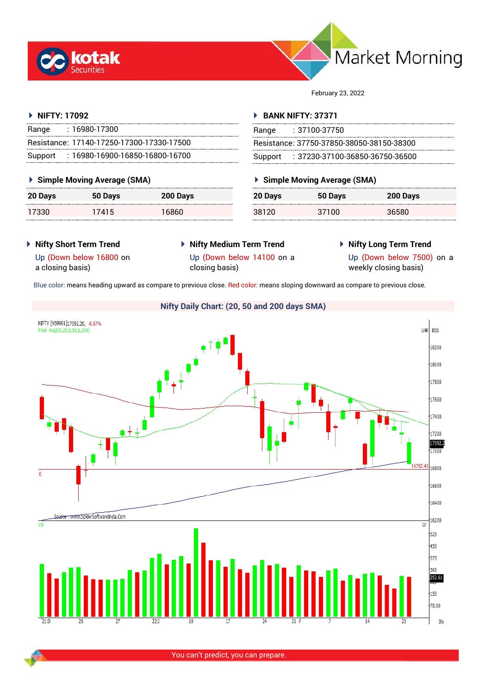



February 23, 2022

# **NIFTY: 17092**

| Range | : 16980-17300                             |
|-------|-------------------------------------------|
|       | Resistance: 17140-17250-17300-17330-17500 |
|       | Support: 16980-16900-16850-16800-16700    |

### **Simple Moving Average (SMA)**

| 20 Days | 50 Days | 200 Days |
|---------|---------|----------|
| 17330   | 17415   | 16860    |

### **BANK NIFTY: 37371**

| Range | $: 37100 - 37750$                         |
|-------|-------------------------------------------|
|       | Resistance: 37750-37850-38050-38150-38300 |
|       | Support: : 37230-37100-36850-36750-36500  |

# **Simple Moving Average (SMA)**

| 20 Days | 50 Days | 200 Days |
|---------|---------|----------|
| 38120   | 37100   | 36580    |

 **Nifty Short Term Trend** Up (Down below 16800 on

a closing basis)

- **Nifty Medium Term Trend** Up (Down below 14100 on a closing basis)
- **Nifty Long Term Trend**

Up (Down below 7500) on a weekly closing basis)

Blue color: means heading upward as compare to previous close. Red color: means sloping downward as compare to previous close.



You can't predict, you can prepare.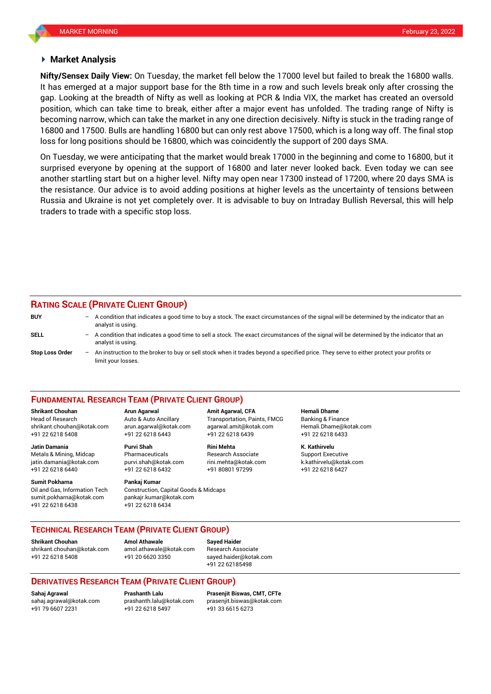### **Market Analysis**

It has emerged at a major support base for the 8th time in a row and such levels break only after crossing the position, which can take time to break, either after a major event has unfolded. The trading range of Nifty is **Nifty/Sensex Daily View:** On Tuesday, the market fell below the 17000 level but failed to break the 16800 walls. gap. Looking at the breadth of Nifty as well as looking at PCR & India VIX, the market has created an oversold becoming narrow, which can take the market in any one direction decisively. Nifty is stuck in the trading range of 16800 and 17500. Bulls are handling 16800 but can only rest above 17500, which is a long way off. The final stop loss for long positions should be 16800, which was coincidently the support of 200 days SMA.

On Tuesday, we were anticipating that the market would break 17000 in the beginning and come to 16800, but it surprised everyone by opening at the support of 16800 and later never looked back. Even today we can see another startling start but on a higher level. Nifty may open near 17300 instead of 17200, where 20 days SMA is the resistance. Our advice is to avoid adding positions at higher levels as the uncertainty of tensions between Russia and Ukraine is not yet completely over. It is advisable to buy on Intraday Bullish Reversal, this will help traders to trade with a specific stop loss.

# **RATING SCALE (PRIVATE CLIENT GROUP)**

limit your losses.

**BUY** – A condition that indicates a good time to buy a stock. The exact circumstances of the signal will be determined by the indicator that an analyst is using. **SELL** – A condition that indicates a good time to sell a stock. The exact circumstances of the signal will be determined by the indicator that an analyst is using. **Stop Loss Order** – An instruction to the broker to buy or sell stock when it trades beyond a specified price. They serve to either protect your profits or

#### **FUNDAMENTAL RESEARCH TEAM (PRIVATE CLIENT GROUP)**

Head of Research Auto & Auto Ancillary Transportation, Paints, FMCG Banking & Finance [shrikant.chouhan@kotak.com](mailto:shrikant.chouhan@kotak.com) arun.agarwal@kotak.com agarwal.amit@kotak.com Hemali.Dhame@kotak.com

**Jatin Damania Purvi Shah Rini Mehta K. Kathirvelu** Metals & Mining, Midcap Pharmaceuticals Research Associate Support Executive jatin.damania@kotak.com [purvi.shah@kotak.com](mailto:purvi.shah@kotak.com) rini.mehta@kotak.com [k.kathirvelu@kotak.com](mailto:k.kathirvelu@kotak.com) +91 22 6218 6440 +91 22 6218 6432 +91 80801 97299 +91 22 6218 6427

Oil and Gas, Information Tech Construction, Capital Goods & Midcaps sumit.pokharna@kotak.com pankajr.kumar@kotak.com

+91 22 6218 5408 +91 22 6218 6443 +91 22 6218 6439 +91 22 6218 6433

# **Sumit Pokharna** Pankaj Kumar

+91 22 6218 6438 +91 22 6218 6434

**Shrikant Chouhan Arun Agarwal Amit Agarwal, CFA Hemali Dhame**

### **TECHNICAL RESEARCH TEAM (PRIVATE CLIENT GROUP)**

**Shrikant Chouhan Amol Athawale Sayed Haider**

[shrikant.chouhan@kotak.com](mailto:shrikant.chouhan@kotak.com) [amol.athawale@kotak.com](mailto:amol.athawale@kotak.com) Research Associate +91 22 6218 5408 +91 20 6620 3350 [sayed.haider@kotak.com](mailto:sayed.haider@kotak.com)

+91 22 62185498

# **DERIVATIVES RESEARCH TEAM (PRIVATE CLIENT GROUP)**

+91 79 6607 2231 +91 22 6218 5497 +91 33 6615 6273

**Sahaj Agrawal Prashanth Lalu Prasenjit Biswas, CMT, CFTe** [sahaj.agrawal@kotak.com](mailto:sahaj.agrawal@kotak.com) [prashanth.lalu@kotak.com](mailto:prashanth.lalu@kotak.com) [prasenjit.biswas@kotak.com](mailto:prasenjit.biswas@kotak.com)